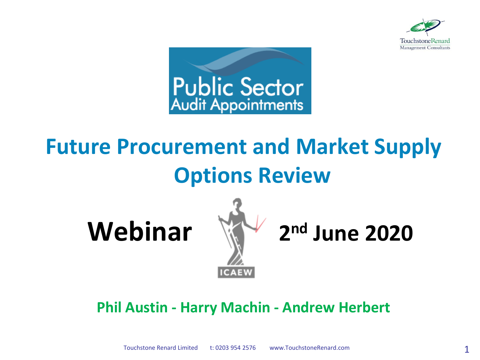



# **Future Procurement and Market Supply Options Review**

**Webinar** 



**nd June 2020**

#### **Phil Austin - Harry Machin - Andrew Herbert**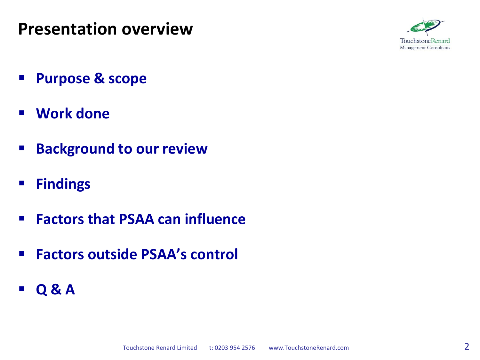### **Presentation overview**



- **Purpose & scope**
- **Work done**
- **Background to our review**
- **Findings**
- **Factors that PSAA can influence**
- **Factors outside PSAA's control**
- **Q & A**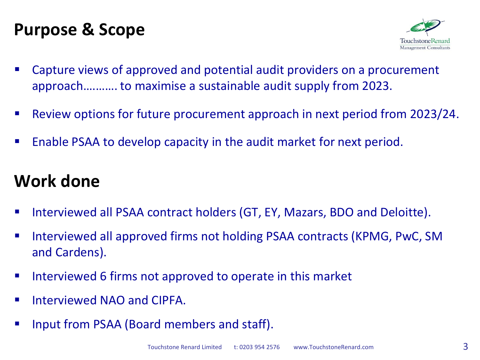### **Purpose & Scope**



- Capture views of approved and potential audit providers on a procurement approach….……. to maximise a sustainable audit supply from 2023.
- Review options for future procurement approach in next period from 2023/24.
- **E** Enable PSAA to develop capacity in the audit market for next period.

### **Work done**

- Interviewed all PSAA contract holders (GT, EY, Mazars, BDO and Deloitte).
- Interviewed all approved firms not holding PSAA contracts (KPMG, PwC, SM and Cardens).
- **IF Interviewed 6 firms not approved to operate in this market**
- **Interviewed NAO and CIPFA.**
- Input from PSAA (Board members and staff).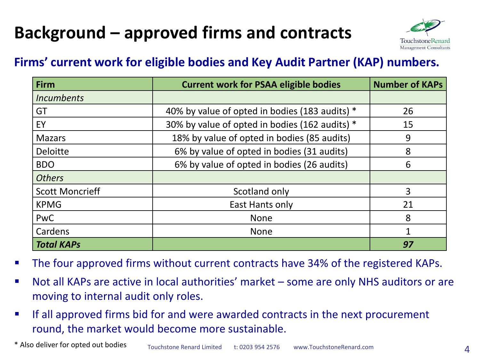# **Background – approved firms and contracts**



#### **Firms' current work for eligible bodies and Key Audit Partner (KAP) numbers.**

| Firm                     | <b>Current work for PSAA eligible bodies</b>   | <b>Number of KAPs</b> |
|--------------------------|------------------------------------------------|-----------------------|
| <i><u>Incumbents</u></i> |                                                |                       |
| GT                       | 40% by value of opted in bodies (183 audits) * | 26                    |
| EY                       | 30% by value of opted in bodies (162 audits) * | 15                    |
| <b>Mazars</b>            | 18% by value of opted in bodies (85 audits)    | 9                     |
| <b>Deloitte</b>          | 6% by value of opted in bodies (31 audits)     | 8                     |
| <b>BDO</b>               | 6% by value of opted in bodies (26 audits)     | 6                     |
| <b>Others</b>            |                                                |                       |
| <b>Scott Moncrieff</b>   | Scotland only                                  | 3                     |
| <b>KPMG</b>              | East Hants only                                | 21                    |
| PwC                      | <b>None</b>                                    | 8                     |
| Cardens                  | <b>None</b>                                    | 1                     |
| <b>Total KAPs</b>        |                                                | 97                    |

- The four approved firms without current contracts have 34% of the registered KAPs.
- Not all KAPs are active in local authorities' market some are only NHS auditors or are moving to internal audit only roles.
- If all approved firms bid for and were awarded contracts in the next procurement round, the market would become more sustainable.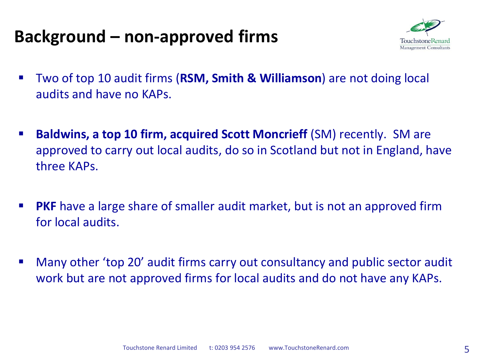# **Background – non-approved firms**



- Two of top 10 audit firms (**RSM, Smith & Williamson**) are not doing local audits and have no KAPs.
- **Baldwins, a top 10 firm, acquired Scott Moncrieff** (SM) recently. SM are approved to carry out local audits, do so in Scotland but not in England, have three KAPs.
- **PKF** have a large share of smaller audit market, but is not an approved firm for local audits.
- Many other 'top 20' audit firms carry out consultancy and public sector audit work but are not approved firms for local audits and do not have any KAPs.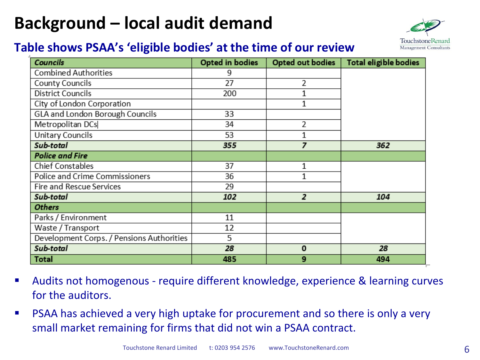## **Background – local audit demand**

### Touchstone Management Consultants

#### **Table shows PSAA's 'eligible bodies' at the time of our review**

| <b>Councils</b>                           | <b>Opted in bodies</b> | Opted out bodies | <b>Total eligible bodies</b> |
|-------------------------------------------|------------------------|------------------|------------------------------|
| <b>Combined Authorities</b>               | 9                      |                  |                              |
| County Councils                           | 27                     | 2                |                              |
| <b>District Councils</b>                  | 200                    |                  |                              |
| City of London Corporation                |                        | $\mathbf{1}$     |                              |
| GLA and London Borough Councils           | 33                     |                  |                              |
| Metropolitan DCs                          | 34                     | 2                |                              |
| Unitary Councils                          | 53                     | 1                |                              |
| Sub-total                                 | 355                    | 7                | 362                          |
| <b>Police and Fire</b>                    |                        |                  |                              |
| Chief Constables                          | 37                     | 1                |                              |
| Police and Crime Commissioners            | 36                     | 1                |                              |
| Fire and Rescue Services                  | 29                     |                  |                              |
| Sub-total                                 | 102                    | $\overline{2}$   | 104                          |
| <b>Others</b>                             |                        |                  |                              |
| Parks / Environment                       | 11                     |                  |                              |
| Waste / Transport                         | 12                     |                  |                              |
| Development Corps. / Pensions Authorities | 5                      |                  |                              |
| Sub-total                                 | 28                     | $\mathbf 0$      | 28                           |
| <b>Total</b>                              | 485                    | 9                | 494                          |

- Audits not homogenous require different knowledge, experience & learning curves for the auditors.
- PSAA has achieved a very high uptake for procurement and so there is only a very small market remaining for firms that did not win a PSAA contract.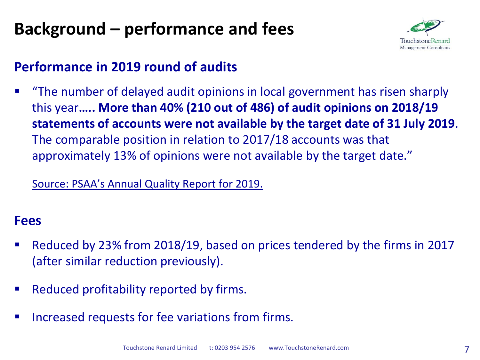# **Background – performance and fees**



#### **Performance in 2019 round of audits**

 "The number of delayed audit opinions in local government has risen sharply this year**….. More than 40% (210 out of 486) of audit opinions on 2018/19 statements of accounts were not available by the target date of 31 July 2019**. The comparable position in relation to 2017/18 accounts was that approximately 13% of opinions were not available by the target date."

Source: PSAA's Annual Quality Report for 2019.

#### **Fees**

- Reduced by 23% from 2018/19, based on prices tendered by the firms in 2017 (after similar reduction previously).
- Reduced profitability reported by firms.
- Increased requests for fee variations from firms.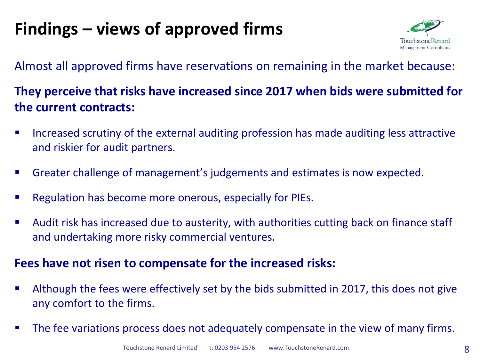# **Findings – views of approved firms**



#### Almost all approved firms have reservations on remaining in the market because:

#### **They perceive that risks have increased since 2017 when bids were submitted for the current contracts:**

- Increased scrutiny of the external auditing profession has made auditing less attractive and riskier for audit partners.
- Greater challenge of management's judgements and estimates is now expected.
- Regulation has become more onerous, especially for PIEs.
- Audit risk has increased due to austerity, with authorities cutting back on finance staff and undertaking more risky commercial ventures.

#### **Fees have not risen to compensate for the increased risks:**

- Although the fees were effectively set by the bids submitted in 2017, this does not give any comfort to the firms.
- The fee variations process does not adequately compensate in the view of many firms.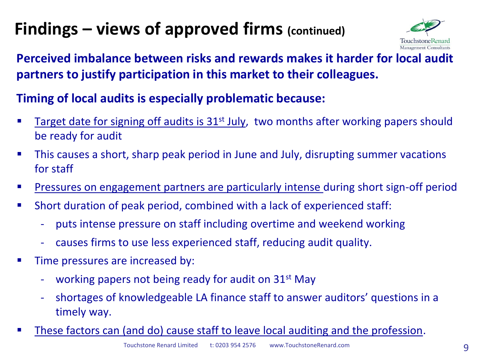# **Findings – views of approved firms (continued)**



#### **Perceived imbalance between risks and rewards makes it harder for local audit partners to justify participation in this market to their colleagues.**

#### **Timing of local audits is especially problematic because:**

- Target date for signing off audits is 31<sup>st</sup> July, two months after working papers should be ready for audit
- This causes a short, sharp peak period in June and July, disrupting summer vacations for staff
- Pressures on engagement partners are particularly intense during short sign-off period
- Short duration of peak period, combined with a lack of experienced staff:
	- puts intense pressure on staff including overtime and weekend working
	- causes firms to use less experienced staff, reducing audit quality.
- Time pressures are increased by:
	- working papers not being ready for audit on  $31<sup>st</sup>$  May
	- shortages of knowledgeable LA finance staff to answer auditors' questions in a timely way.
- These factors can (and do) cause staff to leave local auditing and the profession.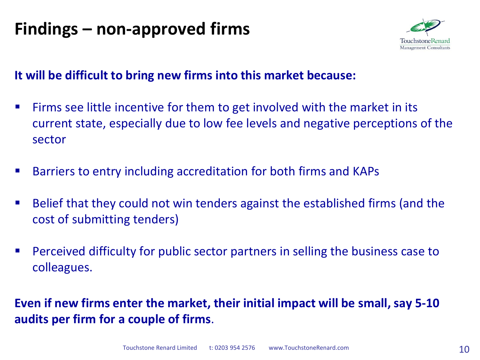## **Findings – non-approved firms**



#### **It will be difficult to bring new firms into this market because:**

- **Firms see little incentive for them to get involved with the market in its** current state, especially due to low fee levels and negative perceptions of the sector
- Barriers to entry including accreditation for both firms and KAPs
- Belief that they could not win tenders against the established firms (and the cost of submitting tenders)
- Perceived difficulty for public sector partners in selling the business case to colleagues.

**Even if new firms enter the market, their initial impact will be small, say 5-10 audits per firm for a couple of firms**.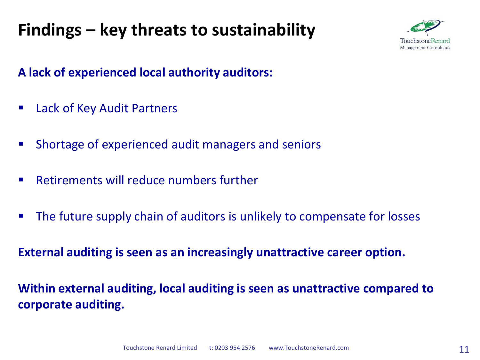# **Findings – key threats to sustainability**



#### **A lack of experienced local authority auditors:**

- Lack of Key Audit Partners
- Shortage of experienced audit managers and seniors
- Retirements will reduce numbers further
- The future supply chain of auditors is unlikely to compensate for losses

**External auditing is seen as an increasingly unattractive career option.**

**Within external auditing, local auditing is seen as unattractive compared to corporate auditing.**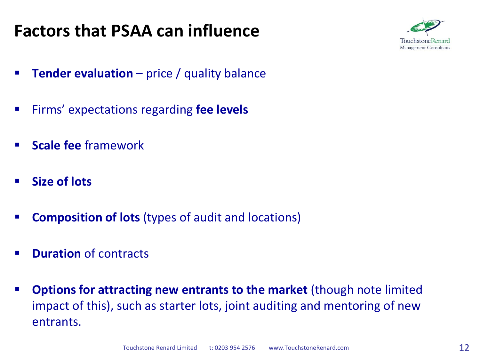### **Factors that PSAA can influence**



- **Tender evaluation** price / quality balance
- Firms' expectations regarding **fee levels**
- **Scale fee** framework
- **Size of lots**
- **Composition of lots** (types of audit and locations)
- **Puration of contracts**
- **Options for attracting new entrants to the market** (though note limited impact of this), such as starter lots, joint auditing and mentoring of new entrants.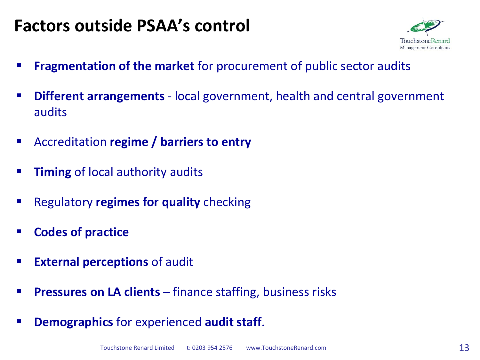### **Factors outside PSAA's control**



- **Fragmentation of the market** for procurement of public sector audits
- **Different arrangements**  local government, health and central government audits
- Accreditation **regime / barriers to entry**
- **Timing** of local authority audits
- **Regulatory regimes for quality** checking
- **Codes of practice**
- **External perceptions of audit**
- **Pressures on LA clients** finance staffing, business risks
- **Demographics** for experienced **audit staff**.